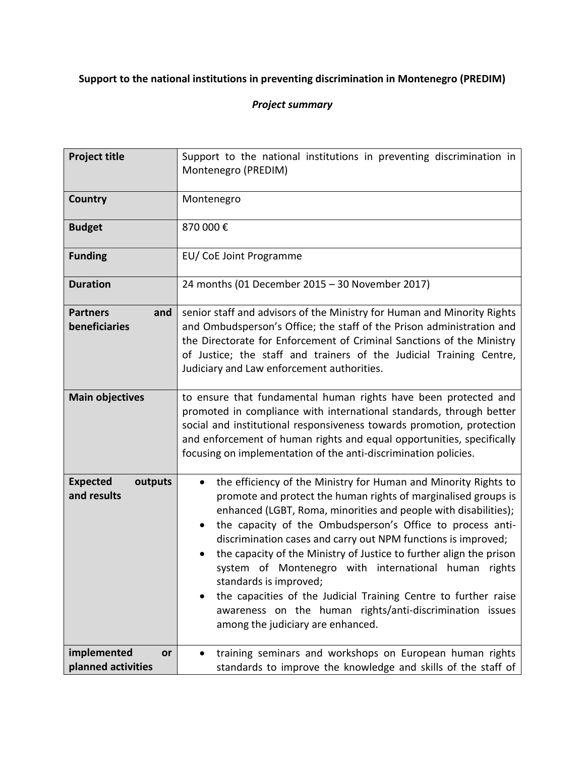## **Support to the national institutions in preventing discrimination in Montenegro (PREDIM)**

## *Project summary*

| <b>Project title</b>                      | Support to the national institutions in preventing discrimination in<br>Montenegro (PREDIM)                                                                                                                                                                                                                                                                                                                                                                                                                                                                                                                                                                                                             |
|-------------------------------------------|---------------------------------------------------------------------------------------------------------------------------------------------------------------------------------------------------------------------------------------------------------------------------------------------------------------------------------------------------------------------------------------------------------------------------------------------------------------------------------------------------------------------------------------------------------------------------------------------------------------------------------------------------------------------------------------------------------|
| Country                                   | Montenegro                                                                                                                                                                                                                                                                                                                                                                                                                                                                                                                                                                                                                                                                                              |
| <b>Budget</b>                             | 870 000€                                                                                                                                                                                                                                                                                                                                                                                                                                                                                                                                                                                                                                                                                                |
| <b>Funding</b>                            | EU/CoE Joint Programme                                                                                                                                                                                                                                                                                                                                                                                                                                                                                                                                                                                                                                                                                  |
| <b>Duration</b>                           | 24 months (01 December 2015 - 30 November 2017)                                                                                                                                                                                                                                                                                                                                                                                                                                                                                                                                                                                                                                                         |
| <b>Partners</b><br>and<br>beneficiaries   | senior staff and advisors of the Ministry for Human and Minority Rights<br>and Ombudsperson's Office; the staff of the Prison administration and<br>the Directorate for Enforcement of Criminal Sanctions of the Ministry<br>of Justice; the staff and trainers of the Judicial Training Centre,<br>Judiciary and Law enforcement authorities.                                                                                                                                                                                                                                                                                                                                                          |
| <b>Main objectives</b>                    | to ensure that fundamental human rights have been protected and<br>promoted in compliance with international standards, through better<br>social and institutional responsiveness towards promotion, protection<br>and enforcement of human rights and equal opportunities, specifically<br>focusing on implementation of the anti-discrimination policies.                                                                                                                                                                                                                                                                                                                                             |
| <b>Expected</b><br>outputs<br>and results | the efficiency of the Ministry for Human and Minority Rights to<br>$\bullet$<br>promote and protect the human rights of marginalised groups is<br>enhanced (LGBT, Roma, minorities and people with disabilities);<br>the capacity of the Ombudsperson's Office to process anti-<br>$\bullet$<br>discrimination cases and carry out NPM functions is improved;<br>the capacity of the Ministry of Justice to further align the prison<br>$\bullet$<br>system of Montenegro with international human rights<br>standards is improved;<br>the capacities of the Judicial Training Centre to further raise<br>awareness on the human rights/anti-discrimination issues<br>among the judiciary are enhanced. |
| implemented<br>or<br>planned activities   | training seminars and workshops on European human rights<br>standards to improve the knowledge and skills of the staff of                                                                                                                                                                                                                                                                                                                                                                                                                                                                                                                                                                               |